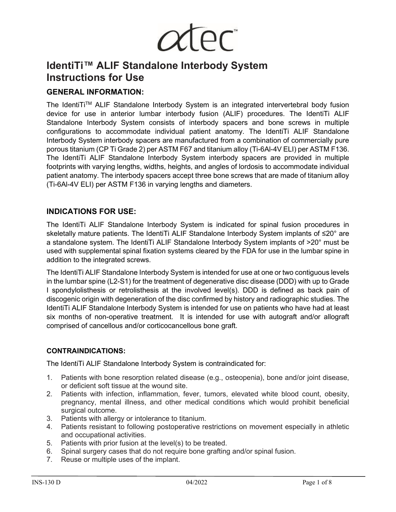

# **IdentiTi™ ALIF Standalone Interbody System Instructions for Use**

## **GENERAL INFORMATION:**

The IdentiTi™ ALIF Standalone Interbody System is an integrated intervertebral body fusion device for use in anterior lumbar interbody fusion (ALIF) procedures. The IdentiTi ALIF Standalone Interbody System consists of interbody spacers and bone screws in multiple configurations to accommodate individual patient anatomy. The IdentiTi ALIF Standalone Interbody System interbody spacers are manufactured from a combination of commercially pure porous titanium (CP Ti Grade 2) per ASTM F67 and titanium alloy (Ti-6Al-4V ELI) per ASTM F136. The IdentiTi ALIF Standalone Interbody System interbody spacers are provided in multiple footprints with varying lengths, widths, heights, and angles of lordosis to accommodate individual patient anatomy. The interbody spacers accept three bone screws that are made of titanium alloy (Ti-6Al-4V ELI) per ASTM F136 in varying lengths and diameters.

## **INDICATIONS FOR USE:**

The IdentiTi ALIF Standalone Interbody System is indicated for spinal fusion procedures in skeletally mature patients. The IdentiTi ALIF Standalone Interbody System implants of ≤20° are a standalone system. The IdentiTi ALIF Standalone Interbody System implants of >20° must be used with supplemental spinal fixation systems cleared by the FDA for use in the lumbar spine in addition to the integrated screws.

The IdentiTi ALIF Standalone Interbody System is intended for use at one or two contiguous levels in the lumbar spine (L2-S1) for the treatment of degenerative disc disease (DDD) with up to Grade I spondylolisthesis or retrolisthesis at the involved level(s). DDD is defined as back pain of discogenic origin with degeneration of the disc confirmed by history and radiographic studies. The IdentiTi ALIF Standalone Interbody System is intended for use on patients who have had at least six months of non-operative treatment. It is intended for use with autograft and/or allograft comprised of cancellous and/or corticocancellous bone graft.

#### **CONTRAINDICATIONS:**

The IdentiTi ALIF Standalone Interbody System is contraindicated for:

- 1. Patients with bone resorption related disease (e.g., osteopenia), bone and/or joint disease, or deficient soft tissue at the wound site.
- 2. Patients with infection, inflammation, fever, tumors, elevated white blood count, obesity, pregnancy, mental illness, and other medical conditions which would prohibit beneficial surgical outcome.
- 3. Patients with allergy or intolerance to titanium.
- 4. Patients resistant to following postoperative restrictions on movement especially in athletic and occupational activities.
- 5. Patients with prior fusion at the level(s) to be treated.
- 6. Spinal surgery cases that do not require bone grafting and/or spinal fusion.
- 7. Reuse or multiple uses of the implant.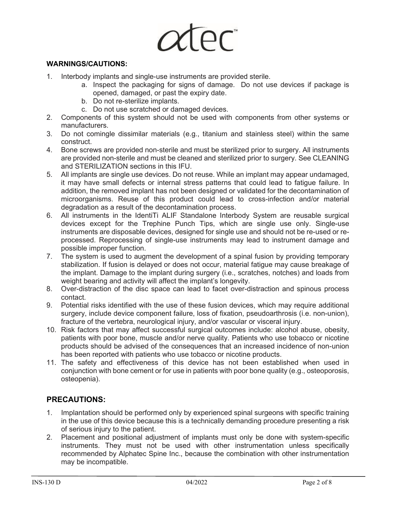

#### **WARNINGS/CAUTIONS:**

- 1. Interbody implants and single-use instruments are provided sterile.
	- a. Inspect the packaging for signs of damage. Do not use devices if package is opened, damaged, or past the expiry date.
	- b. Do not re-sterilize implants.
	- c. Do not use scratched or damaged devices.
- 2. Components of this system should not be used with components from other systems or manufacturers.
- 3. Do not comingle dissimilar materials (e.g., titanium and stainless steel) within the same construct.
- 4. Bone screws are provided non-sterile and must be sterilized prior to surgery. All instruments are provided non-sterile and must be cleaned and sterilized prior to surgery. See CLEANING and STERILIZATION sections in this IFU.
- 5. All implants are single use devices. Do not reuse. While an implant may appear undamaged, it may have small defects or internal stress patterns that could lead to fatigue failure. In addition, the removed implant has not been designed or validated for the decontamination of microorganisms. Reuse of this product could lead to cross-infection and/or material degradation as a result of the decontamination process.
- 6. All instruments in the IdentiTi ALIF Standalone Interbody System are reusable surgical devices except for the Trephine Punch Tips, which are single use only. Single-use instruments are disposable devices, designed for single use and should not be re-used or reprocessed. Reprocessing of single-use instruments may lead to instrument damage and possible improper function.
- 7. The system is used to augment the development of a spinal fusion by providing temporary stabilization. If fusion is delayed or does not occur, material fatigue may cause breakage of the implant. Damage to the implant during surgery (i.e., scratches, notches) and loads from weight bearing and activity will affect the implant's longevity.
- 8. Over-distraction of the disc space can lead to facet over-distraction and spinous process contact.
- 9. Potential risks identified with the use of these fusion devices, which may require additional surgery, include device component failure, loss of fixation, pseudoarthrosis (i.e. non-union), fracture of the vertebra, neurological injury, and/or vascular or visceral injury.
- 10. Risk factors that may affect successful surgical outcomes include: alcohol abuse, obesity, patients with poor bone, muscle and/or nerve quality. Patients who use tobacco or nicotine products should be advised of the consequences that an increased incidence of non-union has been reported with patients who use tobacco or nicotine products.
- 11. The safety and effectiveness of this device has not been established when used in conjunction with bone cement or for use in patients with poor bone quality (e.g., osteoporosis, osteopenia).

## **PRECAUTIONS:**

- 1. Implantation should be performed only by experienced spinal surgeons with specific training in the use of this device because this is a technically demanding procedure presenting a risk of serious injury to the patient.
- 2. Placement and positional adjustment of implants must only be done with system-specific instruments. They must not be used with other instrumentation unless specifically recommended by Alphatec Spine Inc., because the combination with other instrumentation may be incompatible.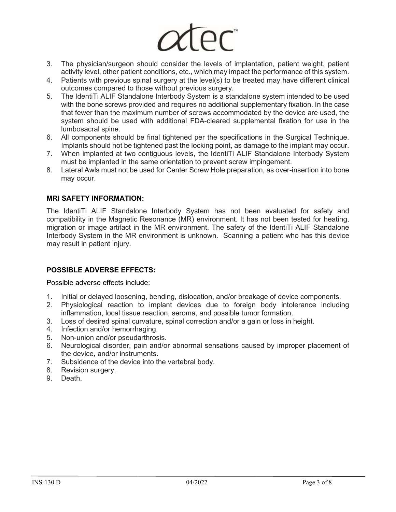

- 3. The physician/surgeon should consider the levels of implantation, patient weight, patient activity level, other patient conditions, etc., which may impact the performance of this system.
- 4. Patients with previous spinal surgery at the level(s) to be treated may have different clinical outcomes compared to those without previous surgery.
- 5. The IdentiTi ALIF Standalone Interbody System is a standalone system intended to be used with the bone screws provided and requires no additional supplementary fixation. In the case that fewer than the maximum number of screws accommodated by the device are used, the system should be used with additional FDA-cleared supplemental fixation for use in the lumbosacral spine.
- 6. All components should be final tightened per the specifications in the Surgical Technique. Implants should not be tightened past the locking point, as damage to the implant may occur.
- 7. When implanted at two contiguous levels, the IdentiTi ALIF Standalone Interbody System must be implanted in the same orientation to prevent screw impingement.
- 8. Lateral Awls must not be used for Center Screw Hole preparation, as over-insertion into bone may occur.

#### **MRI SAFETY INFORMATION:**

The IdentiTi ALIF Standalone Interbody System has not been evaluated for safety and compatibility in the Magnetic Resonance (MR) environment. It has not been tested for heating, migration or image artifact in the MR environment. The safety of the IdentiTi ALIF Standalone Interbody System in the MR environment is unknown. Scanning a patient who has this device may result in patient injury.

#### **POSSIBLE ADVERSE EFFECTS:**

Possible adverse effects include:

- 1. Initial or delayed loosening, bending, dislocation, and/or breakage of device components.
- 2. Physiological reaction to implant devices due to foreign body intolerance including inflammation, local tissue reaction, seroma, and possible tumor formation.
- 3. Loss of desired spinal curvature, spinal correction and/or a gain or loss in height.
- 4. Infection and/or hemorrhaging.
- 5. Non-union and/or pseudarthrosis.
- 6. Neurological disorder, pain and/or abnormal sensations caused by improper placement of the device, and/or instruments.
- 7. Subsidence of the device into the vertebral body.
- 8. Revision surgery.
- 9. Death.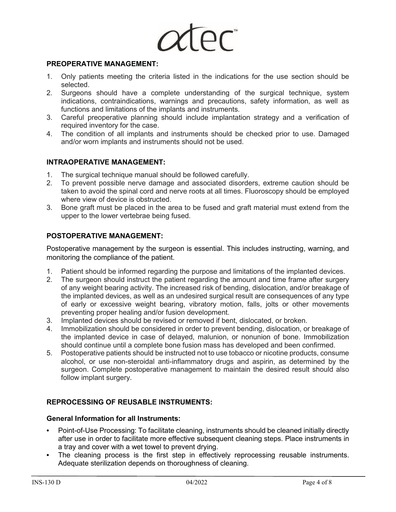

#### **PREOPERATIVE MANAGEMENT:**

- 1. Only patients meeting the criteria listed in the indications for the use section should be selected.
- 2. Surgeons should have a complete understanding of the surgical technique, system indications, contraindications, warnings and precautions, safety information, as well as functions and limitations of the implants and instruments.
- 3. Careful preoperative planning should include implantation strategy and a verification of required inventory for the case.
- 4. The condition of all implants and instruments should be checked prior to use. Damaged and/or worn implants and instruments should not be used.

#### **INTRAOPERATIVE MANAGEMENT:**

- 1. The surgical technique manual should be followed carefully.
- 2. To prevent possible nerve damage and associated disorders, extreme caution should be taken to avoid the spinal cord and nerve roots at all times. Fluoroscopy should be employed where view of device is obstructed.
- 3. Bone graft must be placed in the area to be fused and graft material must extend from the upper to the lower vertebrae being fused.

#### **POSTOPERATIVE MANAGEMENT:**

Postoperative management by the surgeon is essential. This includes instructing, warning, and monitoring the compliance of the patient.

- 1. Patient should be informed regarding the purpose and limitations of the implanted devices.
- 2. The surgeon should instruct the patient regarding the amount and time frame after surgery of any weight bearing activity. The increased risk of bending, dislocation, and/or breakage of the implanted devices, as well as an undesired surgical result are consequences of any type of early or excessive weight bearing, vibratory motion, falls, jolts or other movements preventing proper healing and/or fusion development.
- 3. Implanted devices should be revised or removed if bent, dislocated, or broken.
- 4. Immobilization should be considered in order to prevent bending, dislocation, or breakage of the implanted device in case of delayed, malunion, or nonunion of bone. Immobilization should continue until a complete bone fusion mass has developed and been confirmed.
- 5. Postoperative patients should be instructed not to use tobacco or nicotine products, consume alcohol, or use non-steroidal anti-inflammatory drugs and aspirin, as determined by the surgeon. Complete postoperative management to maintain the desired result should also follow implant surgery.

#### **REPROCESSING OF REUSABLE INSTRUMENTS:**

#### **General Information for all Instruments:**

- **•** Point-of-Use Processing: To facilitate cleaning, instruments should be cleaned initially directly after use in order to facilitate more effective subsequent cleaning steps. Place instruments in a tray and cover with a wet towel to prevent drying.
- The cleaning process is the first step in effectively reprocessing reusable instruments. Adequate sterilization depends on thoroughness of cleaning.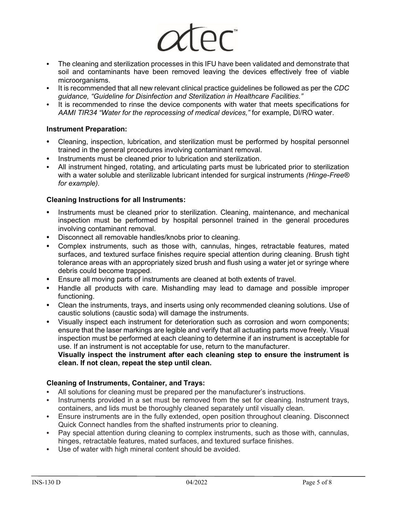

- **•** The cleaning and sterilization processes in this IFU have been validated and demonstrate that soil and contaminants have been removed leaving the devices effectively free of viable microorganisms.
- **•** It is recommended that all new relevant clinical practice guidelines be followed as per the *CDC guidance, "Guideline for Disinfection and Sterilization in Healthcare Facilities."*
- **•** It is recommended to rinse the device components with water that meets specifications for *AAMI TIR34 "Water for the reprocessing of medical devices,"* for example, DI/RO water.

#### **Instrument Preparation:**

- **•** Cleaning, inspection, lubrication, and sterilization must be performed by hospital personnel trained in the general procedures involving contaminant removal.
- **•** Instruments must be cleaned prior to lubrication and sterilization.
- **•** All instrument hinged, rotating, and articulating parts must be lubricated prior to sterilization with a water soluble and sterilizable lubricant intended for surgical instruments *(Hinge-Free® for example).*

#### **Cleaning Instructions for all Instruments:**

- **•** Instruments must be cleaned prior to sterilization. Cleaning, maintenance, and mechanical inspection must be performed by hospital personnel trained in the general procedures involving contaminant removal.
- **•** Disconnect all removable handles/knobs prior to cleaning.
- **•** Complex instruments, such as those with, cannulas, hinges, retractable features, mated surfaces, and textured surface finishes require special attention during cleaning. Brush tight tolerance areas with an appropriately sized brush and flush using a water jet or syringe where debris could become trapped.
- **•** Ensure all moving parts of instruments are cleaned at both extents of travel.
- **•** Handle all products with care. Mishandling may lead to damage and possible improper functioning.
- **•** Clean the instruments, trays, and inserts using only recommended cleaning solutions. Use of caustic solutions (caustic soda) will damage the instruments.
- **•** Visually inspect each instrument for deterioration such as corrosion and worn components; ensure that the laser markings are legible and verify that all actuating parts move freely. Visual inspection must be performed at each cleaning to determine if an instrument is acceptable for use. If an instrument is not acceptable for use, return to the manufacturer.

#### **Visually inspect the instrument after each cleaning step to ensure the instrument is clean. If not clean, repeat the step until clean.**

#### **Cleaning of Instruments, Container, and Trays:**

- **•** All solutions for cleaning must be prepared per the manufacturer's instructions.
- **•** Instruments provided in a set must be removed from the set for cleaning. Instrument trays, containers, and lids must be thoroughly cleaned separately until visually clean.
- **•** Ensure instruments are in the fully extended, open position throughout cleaning. Disconnect Quick Connect handles from the shafted instruments prior to cleaning.
- **•** Pay special attention during cleaning to complex instruments, such as those with, cannulas, hinges, retractable features, mated surfaces, and textured surface finishes.
- **•** Use of water with high mineral content should be avoided.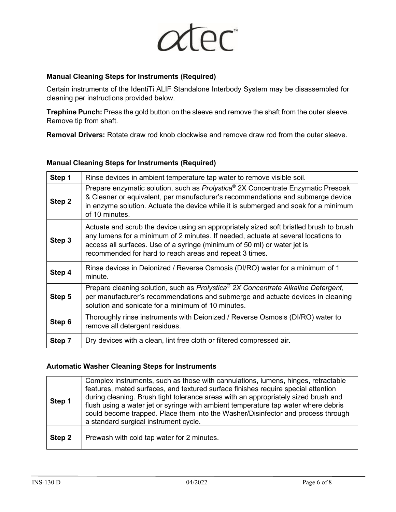

#### **Manual Cleaning Steps for Instruments (Required)**

Certain instruments of the IdentiTi ALIF Standalone Interbody System may be disassembled for cleaning per instructions provided below.

**Trephine Punch:** Press the gold button on the sleeve and remove the shaft from the outer sleeve. Remove tip from shaft.

**Removal Drivers:** Rotate draw rod knob clockwise and remove draw rod from the outer sleeve.

#### **Manual Cleaning Steps for Instruments (Required)**

| Step 1 | Rinse devices in ambient temperature tap water to remove visible soil.                                                                                                                                                                                                                                             |  |  |  |  |
|--------|--------------------------------------------------------------------------------------------------------------------------------------------------------------------------------------------------------------------------------------------------------------------------------------------------------------------|--|--|--|--|
| Step 2 | Prepare enzymatic solution, such as Prolystica® 2X Concentrate Enzymatic Presoak<br>& Cleaner or equivalent, per manufacturer's recommendations and submerge device<br>in enzyme solution. Actuate the device while it is submerged and soak for a minimum<br>of 10 minutes.                                       |  |  |  |  |
| Step 3 | Actuate and scrub the device using an appropriately sized soft bristled brush to brush<br>any lumens for a minimum of 2 minutes. If needed, actuate at several locations to<br>access all surfaces. Use of a syringe (minimum of 50 ml) or water jet is<br>recommended for hard to reach areas and repeat 3 times. |  |  |  |  |
| Step 4 | Rinse devices in Deionized / Reverse Osmosis (DI/RO) water for a minimum of 1<br>minute.                                                                                                                                                                                                                           |  |  |  |  |
| Step 5 | Prepare cleaning solution, such as Prolystica® 2X Concentrate Alkaline Detergent,<br>per manufacturer's recommendations and submerge and actuate devices in cleaning<br>solution and sonicate for a minimum of 10 minutes.                                                                                         |  |  |  |  |
| Step 6 | Thoroughly rinse instruments with Deionized / Reverse Osmosis (DI/RO) water to<br>remove all detergent residues.                                                                                                                                                                                                   |  |  |  |  |
| Step 7 | Dry devices with a clean, lint free cloth or filtered compressed air.                                                                                                                                                                                                                                              |  |  |  |  |

#### **Automatic Washer Cleaning Steps for Instruments**

| Step 1 | Complex instruments, such as those with cannulations, lumens, hinges, retractable<br>features, mated surfaces, and textured surface finishes require special attention<br>during cleaning. Brush tight tolerance areas with an appropriately sized brush and<br>flush using a water jet or syringe with ambient temperature tap water where debris<br>could become trapped. Place them into the Washer/Disinfector and process through<br>a standard surgical instrument cycle. |
|--------|---------------------------------------------------------------------------------------------------------------------------------------------------------------------------------------------------------------------------------------------------------------------------------------------------------------------------------------------------------------------------------------------------------------------------------------------------------------------------------|
| Step 2 | Prewash with cold tap water for 2 minutes.                                                                                                                                                                                                                                                                                                                                                                                                                                      |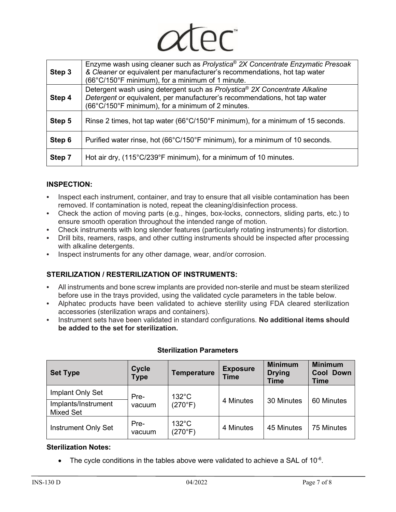

| Step 3 | Enzyme wash using cleaner such as Prolystica <sup>®</sup> 2X Concentrate Enzymatic Presoak<br>& Cleaner or equivalent per manufacturer's recommendations, hot tap water<br>(66°C/150°F minimum), for a minimum of 1 minute. |
|--------|-----------------------------------------------------------------------------------------------------------------------------------------------------------------------------------------------------------------------------|
| Step 4 | Detergent wash using detergent such as Prolystica <sup>®</sup> 2X Concentrate Alkaline<br>Detergent or equivalent, per manufacturer's recommendations, hot tap water<br>(66°C/150°F minimum), for a minimum of 2 minutes.   |
| Step 5 | Rinse 2 times, hot tap water (66°C/150°F minimum), for a minimum of 15 seconds.                                                                                                                                             |
| Step 6 | Purified water rinse, hot (66°C/150°F minimum), for a minimum of 10 seconds.                                                                                                                                                |
| Step 7 | Hot air dry, (115°C/239°F minimum), for a minimum of 10 minutes.                                                                                                                                                            |

#### **INSPECTION:**

- **•** Inspect each instrument, container, and tray to ensure that all visible contamination has been removed. If contamination is noted, repeat the cleaning/disinfection process.
- **•** Check the action of moving parts (e.g., hinges, box-locks, connectors, sliding parts, etc.) to ensure smooth operation throughout the intended range of motion.
- **•** Check instruments with long slender features (particularly rotating instruments) for distortion.
- **•** Drill bits, reamers, rasps, and other cutting instruments should be inspected after processing with alkaline detergents.
- **•** Inspect instruments for any other damage, wear, and/or corrosion.

## **STERILIZATION / RESTERILIZATION OF INSTRUMENTS:**

- **•** All instruments and bone screw implants are provided non-sterile and must be steam sterilized before use in the trays provided, using the validated cycle parameters in the table below.
- **•** Alphatec products have been validated to achieve sterility using FDA cleared sterilization accessories (sterilization wraps and containers).
- **•** Instrument sets have been validated in standard configurations. **No additional items should be added to the set for sterilization.**

| <b>Set Type</b>                         | <b>Cycle</b><br><b>Type</b> | <b>Temperature</b>         | <b>Exposure</b><br><b>Time</b> | <b>Minimum</b><br><b>Drying</b><br><b>Time</b> | <b>Minimum</b><br><b>Cool Down</b><br><b>Time</b> |
|-----------------------------------------|-----------------------------|----------------------------|--------------------------------|------------------------------------------------|---------------------------------------------------|
| Implant Only Set<br>Implants/Instrument | Pre-                        | $132^{\circ}$ C<br>(270°F) | 4 Minutes                      | 30 Minutes                                     | 60 Minutes                                        |
| <b>Mixed Set</b>                        | vacuum                      |                            |                                |                                                |                                                   |
| <b>Instrument Only Set</b>              | Pre-<br>vacuum              | $132^{\circ}$ C<br>(270°F) | 4 Minutes                      | 45 Minutes                                     | 75 Minutes                                        |

#### **Sterilization Parameters**

#### **Sterilization Notes:**

The cycle conditions in the tables above were validated to achieve a SAL of  $10^{-6}$ .